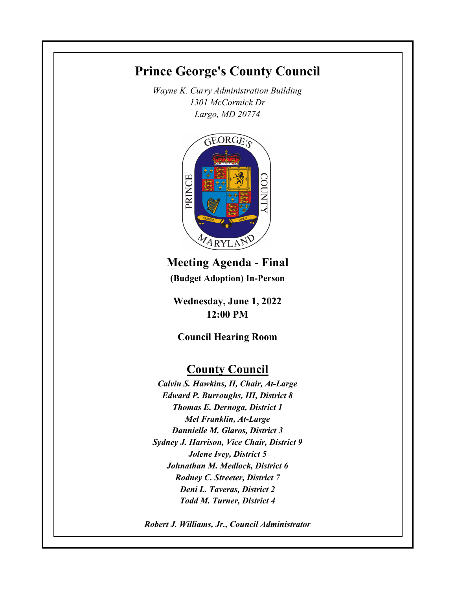# **Prince George's County Council**

*Wayne K. Curry Administration Building 1301 McCormick Dr Largo, MD 20774*



**Meeting Agenda - Final (Budget Adoption) In-Person**

**Wednesday, June 1, 2022 12:00 PM**

**Council Hearing Room**

## **County Council**

*Calvin S. Hawkins, II, Chair, At-Large Edward P. Burroughs, III, District 8 Thomas E. Dernoga, District 1 Mel Franklin, At-Large Dannielle M. Glaros, District 3 Sydney J. Harrison, Vice Chair, District 9 Jolene Ivey, District 5 Johnathan M. Medlock, District 6 Rodney C. Streeter, District 7 Deni L. Taveras, District 2 Todd M. Turner, District 4*

*Robert J. Williams, Jr., Council Administrator*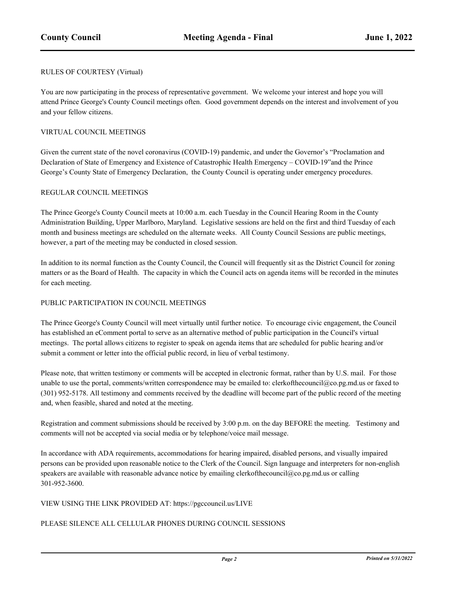#### RULES OF COURTESY (Virtual)

You are now participating in the process of representative government. We welcome your interest and hope you will attend Prince George's County Council meetings often. Good government depends on the interest and involvement of you and your fellow citizens.

#### VIRTUAL COUNCIL MEETINGS

Given the current state of the novel coronavirus (COVID-19) pandemic, and under the Governor's "Proclamation and Declaration of State of Emergency and Existence of Catastrophic Health Emergency – COVID-19"and the Prince George's County State of Emergency Declaration, the County Council is operating under emergency procedures.

#### REGULAR COUNCIL MEETINGS

The Prince George's County Council meets at 10:00 a.m. each Tuesday in the Council Hearing Room in the County Administration Building, Upper Marlboro, Maryland. Legislative sessions are held on the first and third Tuesday of each month and business meetings are scheduled on the alternate weeks. All County Council Sessions are public meetings, however, a part of the meeting may be conducted in closed session.

In addition to its normal function as the County Council, the Council will frequently sit as the District Council for zoning matters or as the Board of Health. The capacity in which the Council acts on agenda items will be recorded in the minutes for each meeting.

#### PUBLIC PARTICIPATION IN COUNCIL MEETINGS

The Prince George's County Council will meet virtually until further notice. To encourage civic engagement, the Council has established an eComment portal to serve as an alternative method of public participation in the Council's virtual meetings. The portal allows citizens to register to speak on agenda items that are scheduled for public hearing and/or submit a comment or letter into the official public record, in lieu of verbal testimony.

Please note, that written testimony or comments will be accepted in electronic format, rather than by U.S. mail. For those unable to use the portal, comments/written correspondence may be emailed to: clerkofthecouncil@co.pg.md.us or faxed to (301) 952-5178. All testimony and comments received by the deadline will become part of the public record of the meeting and, when feasible, shared and noted at the meeting.

Registration and comment submissions should be received by 3:00 p.m. on the day BEFORE the meeting. Testimony and comments will not be accepted via social media or by telephone/voice mail message.

In accordance with ADA requirements, accommodations for hearing impaired, disabled persons, and visually impaired persons can be provided upon reasonable notice to the Clerk of the Council. Sign language and interpreters for non-english speakers are available with reasonable advance notice by emailing clerkofthecouncil@co.pg.md.us or calling 301-952-3600.

#### VIEW USING THE LINK PROVIDED AT: https://pgccouncil.us/LIVE

#### PLEASE SILENCE ALL CELLULAR PHONES DURING COUNCIL SESSIONS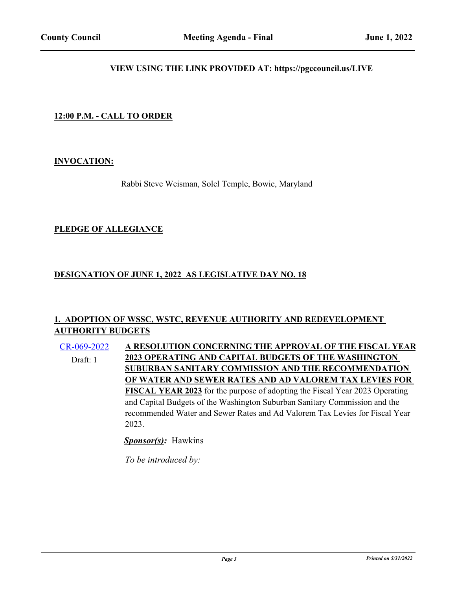#### **VIEW USING THE LINK PROVIDED AT: https://pgccouncil.us/LIVE**

## **12:00 P.M. - CALL TO ORDER**

#### **INVOCATION:**

Rabbi Steve Weisman, Solel Temple, Bowie, Maryland

#### **PLEDGE OF ALLEGIANCE**

## **DESIGNATION OF JUNE 1, 2022 AS LEGISLATIVE DAY NO. 18**

## **1. ADOPTION OF WSSC, WSTC, REVENUE AUTHORITY AND REDEVELOPMENT AUTHORITY BUDGETS**

[CR-069-2022](http://princegeorgescountymd.legistar.com/gateway.aspx?m=l&id=/matter.aspx?key=15029) **A RESOLUTION CONCERNING THE APPROVAL OF THE FISCAL YEAR 2023 OPERATING AND CAPITAL BUDGETS OF THE WASHINGTON SUBURBAN SANITARY COMMISSION AND THE RECOMMENDATION OF WATER AND SEWER RATES AND AD VALOREM TAX LEVIES FOR FISCAL YEAR 2023** for the purpose of adopting the Fiscal Year 2023 Operating and Capital Budgets of the Washington Suburban Sanitary Commission and the recommended Water and Sewer Rates and Ad Valorem Tax Levies for Fiscal Year 2023. Draft: 1

*Sponsor(s):* Hawkins

*To be introduced by:*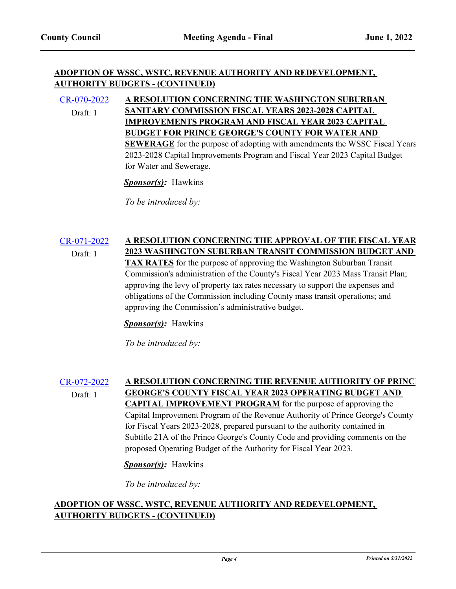## **ADOPTION OF WSSC, WSTC, REVENUE AUTHORITY AND REDEVELOPMENT, AUTHORITY BUDGETS - (CONTINUED)**

#### [CR-070-2022](http://princegeorgescountymd.legistar.com/gateway.aspx?m=l&id=/matter.aspx?key=15030) **A RESOLUTION CONCERNING THE WASHINGTON SUBURBAN SANITARY COMMISSION FISCAL YEARS 2023-2028 CAPITAL IMPROVEMENTS PROGRAM AND FISCAL YEAR 2023 CAPITAL BUDGET FOR PRINCE GEORGE'S COUNTY FOR WATER AND SEWERAGE** for the purpose of adopting with amendments the WSSC Fiscal Years 2023-2028 Capital Improvements Program and Fiscal Year 2023 Capital Budget for Water and Sewerage. Draft: 1

*Sponsor(s):* Hawkins

*To be introduced by:*

#### [CR-071-2022](http://princegeorgescountymd.legistar.com/gateway.aspx?m=l&id=/matter.aspx?key=15031) **A RESOLUTION CONCERNING THE APPROVAL OF THE FISCAL YEAR 2023 WASHINGTON SUBURBAN TRANSIT COMMISSION BUDGET AND**  Draft: 1

**TAX RATES** for the purpose of approving the Washington Suburban Transit Commission's administration of the County's Fiscal Year 2023 Mass Transit Plan; approving the levy of property tax rates necessary to support the expenses and obligations of the Commission including County mass transit operations; and approving the Commission's administrative budget.

*Sponsor(s):* Hawkins

*To be introduced by:*

#### [CR-072-2022](http://princegeorgescountymd.legistar.com/gateway.aspx?m=l&id=/matter.aspx?key=15032) A RESOLUTION CONCERNING THE REVENUE AUTHORITY OF PRINC **GEORGE'S COUNTY FISCAL YEAR 2023 OPERATING BUDGET AND CAPITAL IMPROVEMENT PROGRAM** for the purpose of approving the Capital Improvement Program of the Revenue Authority of Prince George's County for Fiscal Years 2023-2028, prepared pursuant to the authority contained in Subtitle 21A of the Prince George's County Code and providing comments on the proposed Operating Budget of the Authority for Fiscal Year 2023. Draft: 1

## *Sponsor(s):* Hawkins

*To be introduced by:*

## **ADOPTION OF WSSC, WSTC, REVENUE AUTHORITY AND REDEVELOPMENT, AUTHORITY BUDGETS - (CONTINUED)**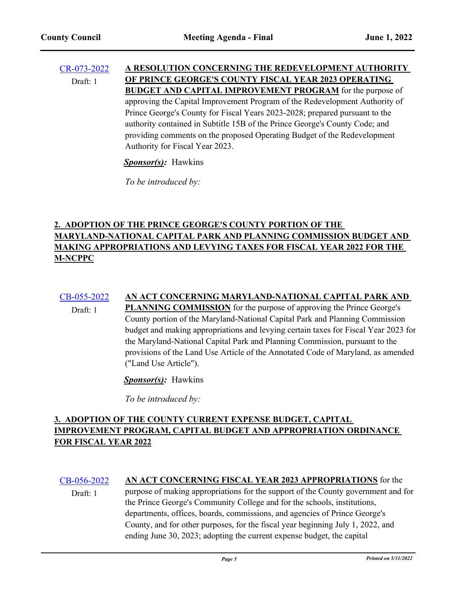Draft: 1

#### [CR-073-2022](http://princegeorgescountymd.legistar.com/gateway.aspx?m=l&id=/matter.aspx?key=15033) **A RESOLUTION CONCERNING THE REDEVELOPMENT AUTHORITY OF PRINCE GEORGE'S COUNTY FISCAL YEAR 2023 OPERATING BUDGET AND CAPITAL IMPROVEMENT PROGRAM** for the purpose of approving the Capital Improvement Program of the Redevelopment Authority of Prince George's County for Fiscal Years 2023-2028; prepared pursuant to the authority contained in Subtitle 15B of the Prince George's County Code; and providing comments on the proposed Operating Budget of the Redevelopment Authority for Fiscal Year 2023. Draft: 1

*Sponsor(s):* Hawkins

*To be introduced by:*

## **2. ADOPTION OF THE PRINCE GEORGE'S COUNTY PORTION OF THE MARYLAND-NATIONAL CAPITAL PARK AND PLANNING COMMISSION BUDGET AND MAKING APPROPRIATIONS AND LEVYING TAXES FOR FISCAL YEAR 2022 FOR THE M-NCPPC**

# [CB-055-2022](http://princegeorgescountymd.legistar.com/gateway.aspx?m=l&id=/matter.aspx?key=15034) **AN ACT CONCERNING MARYLAND-NATIONAL CAPITAL PARK AND**

**PLANNING COMMISSION** for the purpose of approving the Prince George's County portion of the Maryland-National Capital Park and Planning Commission budget and making appropriations and levying certain taxes for Fiscal Year 2023 for the Maryland-National Capital Park and Planning Commission, pursuant to the provisions of the Land Use Article of the Annotated Code of Maryland, as amended ("Land Use Article").

*Sponsor(s):* Hawkins

*To be introduced by:*

## **3. ADOPTION OF THE COUNTY CURRENT EXPENSE BUDGET, CAPITAL IMPROVEMENT PROGRAM, CAPITAL BUDGET AND APPROPRIATION ORDINANCE FOR FISCAL YEAR 2022**

## [CB-056-2022](http://princegeorgescountymd.legistar.com/gateway.aspx?m=l&id=/matter.aspx?key=15035) **AN ACT CONCERNING FISCAL YEAR 2023 APPROPRIATIONS** for the

purpose of making appropriations for the support of the County government and for the Prince George's Community College and for the schools, institutions, departments, offices, boards, commissions, and agencies of Prince George's County, and for other purposes, for the fiscal year beginning July 1, 2022, and ending June 30, 2023; adopting the current expense budget, the capital Draft: 1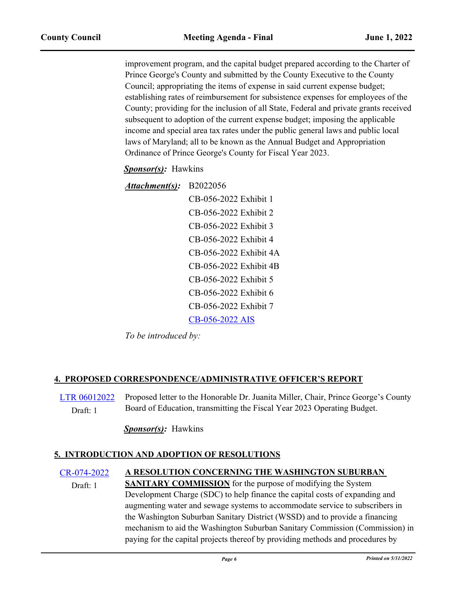improvement program, and the capital budget prepared according to the Charter of Prince George's County and submitted by the County Executive to the County Council; appropriating the items of expense in said current expense budget; establishing rates of reimbursement for subsistence expenses for employees of the County; providing for the inclusion of all State, Federal and private grants received subsequent to adoption of the current expense budget; imposing the applicable income and special area tax rates under the public general laws and public local laws of Maryland; all to be known as the Annual Budget and Appropriation Ordinance of Prince George's County for Fiscal Year 2023.

## *Sponsor(s):* Hawkins

| Attachment(s): | B2022056               |
|----------------|------------------------|
|                | CB-056-2022 Exhibit 1  |
|                | CB-056-2022 Exhibit 2  |
|                | CB-056-2022 Exhibit 3  |
|                | CB-056-2022 Exhibit 4  |
|                | CB-056-2022 Exhibit 4A |
|                | CB-056-2022 Exhibit 4B |
|                | CB-056-2022 Exhibit 5  |
|                | CB-056-2022 Exhibit 6  |
|                | CB-056-2022 Exhibit 7  |
|                | CB-056-2022 AIS        |
|                |                        |

*To be introduced by:*

## **4. PROPOSED CORRESPONDENCE/ADMINISTRATIVE OFFICER'S REPORT**

[LTR 06012022](http://princegeorgescountymd.legistar.com/gateway.aspx?m=l&id=/matter.aspx?key=15036) Proposed letter to the Honorable Dr. Juanita Miller, Chair, Prince George's County Draft: 1 Board of Education, transmitting the Fiscal Year 2023 Operating Budget.

## *Sponsor(s):* Hawkins

## **5. INTRODUCTION AND ADOPTION OF RESOLUTIONS**

#### [CR-074-2022](http://princegeorgescountymd.legistar.com/gateway.aspx?m=l&id=/matter.aspx?key=15037) **A RESOLUTION CONCERNING THE WASHINGTON SUBURBAN SANITARY COMMISSION** for the purpose of modifying the System Draft: 1

Development Charge (SDC) to help finance the capital costs of expanding and augmenting water and sewage systems to accommodate service to subscribers in the Washington Suburban Sanitary District (WSSD) and to provide a financing mechanism to aid the Washington Suburban Sanitary Commission (Commission) in paying for the capital projects thereof by providing methods and procedures by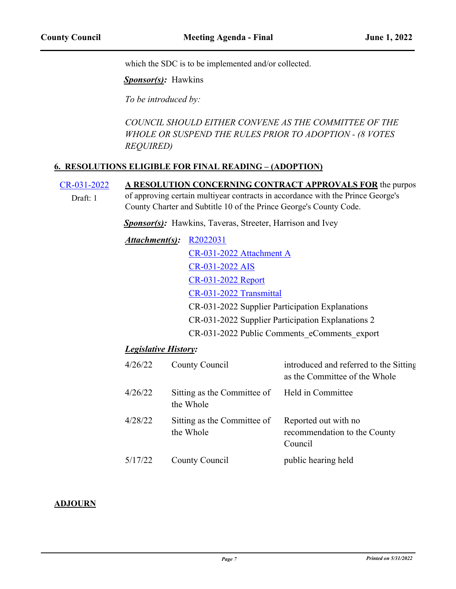which the SDC is to be implemented and/or collected.

*Sponsor(s):* Hawkins

*To be introduced by:*

*COUNCIL SHOULD EITHER CONVENE AS THE COMMITTEE OF THE WHOLE OR SUSPEND THE RULES PRIOR TO ADOPTION - (8 VOTES REQUIRED)*

#### **6. RESOLUTIONS ELIGIBLE FOR FINAL READING – (ADOPTION)**

[CR-031-2022](http://princegeorgescountymd.legistar.com/gateway.aspx?m=l&id=/matter.aspx?key=14890) A RESOLUTION CONCERNING CONTRACT APPROVALS FOR the purpos of approving certain multiyear contracts in accordance with the Prince George's Draft: 1

County Charter and Subtitle 10 of the Prince George's County Code.

**Sponsor(s):** Hawkins, Taveras, Streeter, Harrison and Ivey

*Attachment(s):* [R2022031](http://princegeorgescountymd.legistar.com/gateway.aspx?M=F&ID=b3b7a0d5-01cf-49c2-bdda-1e37a2919a41.docx) [CR-031-2022 Attachment A](http://princegeorgescountymd.legistar.com/gateway.aspx?M=F&ID=e1f55f49-65c9-41e4-8d5e-eadf5261104e.pdf) [CR-031-2022 AIS](http://princegeorgescountymd.legistar.com/gateway.aspx?M=F&ID=d5ae9a54-b8d6-49f2-b5cc-dea183ea2739.pdf) [CR-031-2022 Report](http://princegeorgescountymd.legistar.com/gateway.aspx?M=F&ID=dbb75a8c-a638-4ac6-b338-119dd949bf23.doc) [CR-031-2022 Transmittal](http://princegeorgescountymd.legistar.com/gateway.aspx?M=F&ID=4c7a3bfb-9e63-4c3f-a728-72a437fd7785.pdf) CR-031-2022 Supplier Participation Explanations CR-031-2022 Supplier Participation Explanations 2 CR-031-2022 Public Comments\_eComments\_export

## *Legislative History:*

| 4/26/22 | County Council                                             | introduced and referred to the Sitting<br>as the Committee of the Whole |
|---------|------------------------------------------------------------|-------------------------------------------------------------------------|
| 4/26/22 | Sitting as the Committee of Held in Committee<br>the Whole |                                                                         |
| 4/28/22 | Sitting as the Committee of<br>the Whole                   | Reported out with no<br>recommendation to the County<br>Council         |
| 5/17/22 | County Council                                             | public hearing held                                                     |

#### **ADJOURN**